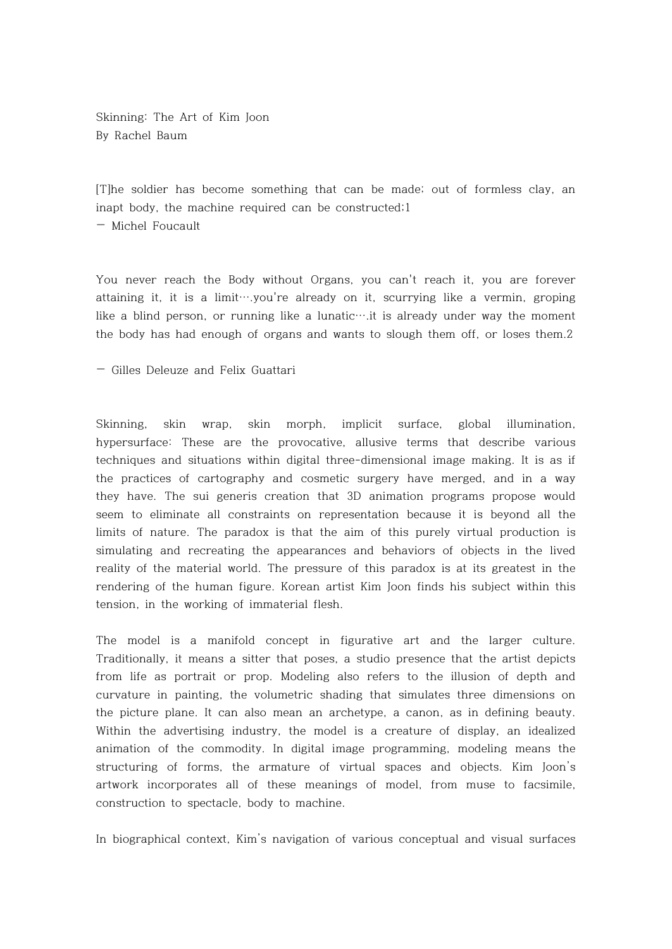Skinning: The Art of Kim Joon By Rachel Baum

[T]he soldier has become something that can be made; out of formless clay, an inapt body, the machine required can be constructed;1

— Michel Foucault

You never reach the Body without Organs, you can't reach it, you are forever attaining it, it is a limit….you're already on it, scurrying like a vermin, groping like a blind person, or running like a lunatic….it is already under way the moment the body has had enough of organs and wants to slough them off, or loses them.2

— Gilles Deleuze and Felix Guattari

Skinning, skin wrap, skin morph, implicit surface, global illumination, hypersurface: These are the provocative, allusive terms that describe various techniques and situations within digital three-dimensional image making. It is as if the practices of cartography and cosmetic surgery have merged, and in a way they have. The sui generis creation that 3D animation programs propose would seem to eliminate all constraints on representation because it is beyond all the limits of nature. The paradox is that the aim of this purely virtual production is simulating and recreating the appearances and behaviors of objects in the lived reality of the material world. The pressure of this paradox is at its greatest in the rendering of the human figure. Korean artist Kim Joon finds his subject within this tension, in the working of immaterial flesh.

The model is a manifold concept in figurative art and the larger culture. Traditionally, it means a sitter that poses, a studio presence that the artist depicts from life as portrait or prop. Modeling also refers to the illusion of depth and curvature in painting, the volumetric shading that simulates three dimensions on the picture plane. It can also mean an archetype, a canon, as in defining beauty. Within the advertising industry, the model is a creature of display, an idealized animation of the commodity. In digital image programming, modeling means the structuring of forms, the armature of virtual spaces and objects. Kim Joon's artwork incorporates all of these meanings of model, from muse to facsimile, construction to spectacle, body to machine.

In biographical context, Kim's navigation of various conceptual and visual surfaces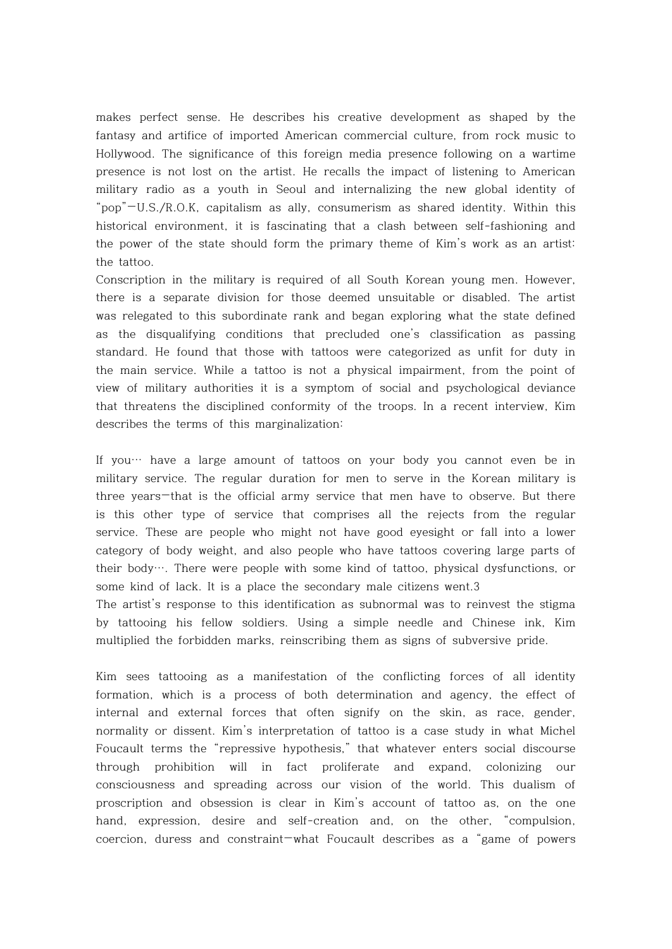makes perfect sense. He describes his creative development as shaped by the fantasy and artifice of imported American commercial culture, from rock music to Hollywood. The significance of this foreign media presence following on a wartime presence is not lost on the artist. He recalls the impact of listening to American military radio as a youth in Seoul and internalizing the new global identity of "pop"—U.S./R.O.K, capitalism as ally, consumerism as shared identity. Within this historical environment, it is fascinating that a clash between self-fashioning and the power of the state should form the primary theme of Kim's work as an artist: the tattoo.

Conscription in the military is required of all South Korean young men. However, there is a separate division for those deemed unsuitable or disabled. The artist was relegated to this subordinate rank and began exploring what the state defined as the disqualifying conditions that precluded one's classification as passing standard. He found that those with tattoos were categorized as unfit for duty in the main service. While a tattoo is not a physical impairment, from the point of view of military authorities it is a symptom of social and psychological deviance that threatens the disciplined conformity of the troops. In a recent interview, Kim describes the terms of this marginalization:

 If you… have a large amount of tattoos on your body you cannot even be in military service. The regular duration for men to serve in the Korean military is three years—that is the official army service that men have to observe. But there is this other type of service that comprises all the rejects from the regular service. These are people who might not have good eyesight or fall into a lower category of body weight, and also people who have tattoos covering large parts of their body…. There were people with some kind of tattoo, physical dysfunctions, or some kind of lack. It is a place the secondary male citizens went.3

The artist's response to this identification as subnormal was to reinvest the stigma by tattooing his fellow soldiers. Using a simple needle and Chinese ink, Kim multiplied the forbidden marks, reinscribing them as signs of subversive pride.

Kim sees tattooing as a manifestation of the conflicting forces of all identity formation, which is a process of both determination and agency, the effect of internal and external forces that often signify on the skin, as race, gender, normality or dissent. Kim's interpretation of tattoo is a case study in what Michel Foucault terms the "repressive hypothesis," that whatever enters social discourse through prohibition will in fact proliferate and expand, colonizing our consciousness and spreading across our vision of the world. This dualism of proscription and obsession is clear in Kim's account of tattoo as, on the one hand, expression, desire and self-creation and, on the other, "compulsion, coercion, duress and constraint—what Foucault describes as a "game of powers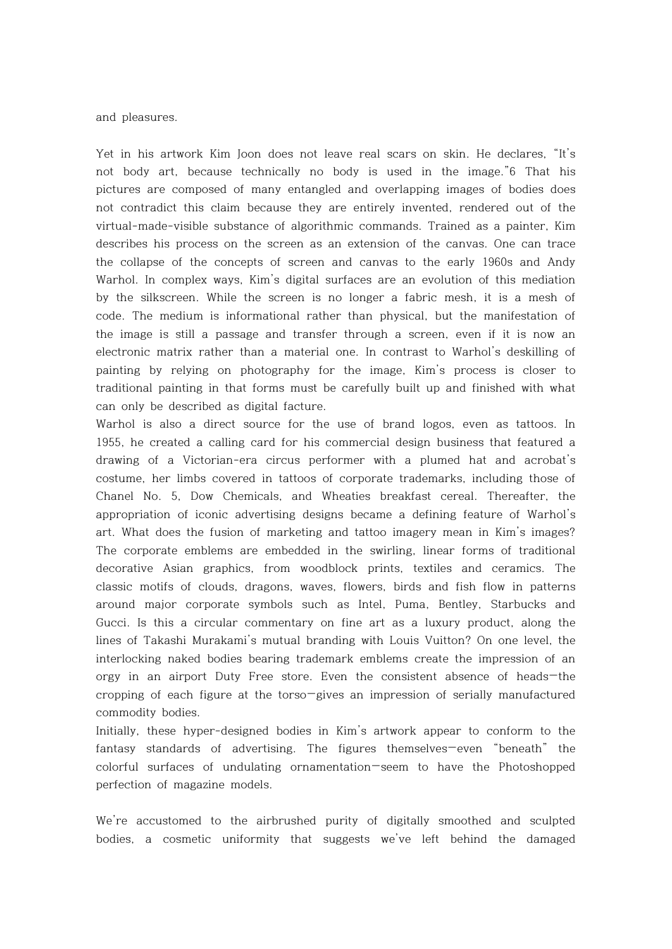and pleasures.

Yet in his artwork Kim Joon does not leave real scars on skin. He declares, "It's not body art, because technically no body is used in the image."6 That his pictures are composed of many entangled and overlapping images of bodies does not contradict this claim because they are entirely invented, rendered out of the virtual-made-visible substance of algorithmic commands. Trained as a painter, Kim describes his process on the screen as an extension of the canvas. One can trace the collapse of the concepts of screen and canvas to the early 1960s and Andy Warhol. In complex ways, Kim's digital surfaces are an evolution of this mediation by the silkscreen. While the screen is no longer a fabric mesh, it is a mesh of code. The medium is informational rather than physical, but the manifestation of the image is still a passage and transfer through a screen, even if it is now an electronic matrix rather than a material one. In contrast to Warhol's deskilling of painting by relying on photography for the image, Kim's process is closer to traditional painting in that forms must be carefully built up and finished with what can only be described as digital facture.

Warhol is also a direct source for the use of brand logos, even as tattoos. In 1955, he created a calling card for his commercial design business that featured a drawing of a Victorian-era circus performer with a plumed hat and acrobat's costume, her limbs covered in tattoos of corporate trademarks, including those of Chanel No. 5, Dow Chemicals, and Wheaties breakfast cereal. Thereafter, the appropriation of iconic advertising designs became a defining feature of Warhol's art. What does the fusion of marketing and tattoo imagery mean in Kim's images? The corporate emblems are embedded in the swirling, linear forms of traditional decorative Asian graphics, from woodblock prints, textiles and ceramics. The classic motifs of clouds, dragons, waves, flowers, birds and fish flow in patterns around major corporate symbols such as Intel, Puma, Bentley, Starbucks and Gucci. Is this a circular commentary on fine art as a luxury product, along the lines of Takashi Murakami's mutual branding with Louis Vuitton? On one level, the interlocking naked bodies bearing trademark emblems create the impression of an orgy in an airport Duty Free store. Even the consistent absence of heads—the cropping of each figure at the torso—gives an impression of serially manufactured commodity bodies.

Initially, these hyper-designed bodies in Kim's artwork appear to conform to the fantasy standards of advertising. The figures themselves—even "beneath" the colorful surfaces of undulating ornamentation—seem to have the Photoshopped perfection of magazine models.

We're accustomed to the airbrushed purity of digitally smoothed and sculpted bodies, a cosmetic uniformity that suggests we've left behind the damaged